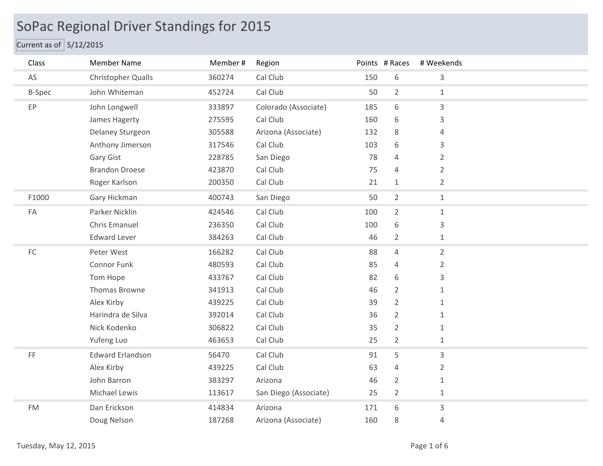## SoPac Regional Driver Standings for 2015

## Current as of  $5/12/2015$

| Class               | <b>Member Name</b>      | Member# | Region                |     | Points # Races | # Weekends     |
|---------------------|-------------------------|---------|-----------------------|-----|----------------|----------------|
| AS                  | Christopher Qualls      | 360274  | Cal Club              | 150 | 6              | 3              |
| <b>B-Spec</b>       | John Whiteman           | 452724  | Cal Club              | 50  | $\overline{2}$ | $\mathbf{1}$   |
| EP                  | John Longwell           | 333897  | Colorado (Associate)  | 185 | 6              | $\mathsf{3}$   |
|                     | James Hagerty           | 275595  | Cal Club              | 160 | 6              | 3              |
|                     | Delaney Sturgeon        | 305588  | Arizona (Associate)   | 132 | 8              | 4              |
|                     | Anthony Jimerson        | 317546  | Cal Club              | 103 | 6              | 3              |
|                     | Gary Gist               | 228785  | San Diego             | 78  | 4              | $\overline{2}$ |
|                     | <b>Brandon Droese</b>   | 423870  | Cal Club              | 75  | $\overline{4}$ | $\overline{2}$ |
|                     | Roger Karlson           | 200350  | Cal Club              | 21  | 1              | $\overline{2}$ |
| F1000               | Gary Hickman            | 400743  | San Diego             | 50  | $\overline{2}$ | $1\,$          |
| FA                  | Parker Nicklin          | 424546  | Cal Club              | 100 | $\overline{2}$ | $\mathbf{1}$   |
|                     | Chris Emanuel           | 236350  | Cal Club              | 100 | 6              | 3              |
|                     | <b>Edward Lever</b>     | 384263  | Cal Club              | 46  | $\overline{2}$ | $1\,$          |
| $\mathsf{FC}$       | Peter West              | 166282  | Cal Club              | 88  | $\overline{4}$ | $\overline{2}$ |
|                     | Connor Funk             | 480593  | Cal Club              | 85  | $\overline{4}$ | $\overline{2}$ |
|                     | Tom Hope                | 433767  | Cal Club              | 82  | 6              | 3              |
|                     | Thomas Browne           | 341913  | Cal Club              | 46  | $\overline{2}$ | $\mathbf{1}$   |
|                     | Alex Kirby              | 439225  | Cal Club              | 39  | $\overline{2}$ | $\mathbf{1}$   |
|                     | Harindra de Silva       | 392014  | Cal Club              | 36  | $\overline{2}$ | $\mathbf{1}$   |
|                     | Nick Kodenko            | 306822  | Cal Club              | 35  | $\overline{2}$ | $\mathbf{1}$   |
|                     | Yufeng Luo              | 463653  | Cal Club              | 25  | $\overline{2}$ | $\mathbf{1}$   |
| $\mathsf{FF}% _{0}$ | <b>Edward Erlandson</b> | 56470   | Cal Club              | 91  | 5              | $\mathsf{3}$   |
|                     | Alex Kirby              | 439225  | Cal Club              | 63  | $\overline{4}$ | $\overline{2}$ |
|                     | John Barron             | 383297  | Arizona               | 46  | $\overline{2}$ | $\mathbf{1}$   |
|                     | Michael Lewis           | 113617  | San Diego (Associate) | 25  | $\overline{2}$ | $\mathbf{1}$   |
| <b>FM</b>           | Dan Erickson            | 414834  | Arizona               | 171 | 6              | 3              |
|                     | Doug Nelson             | 187268  | Arizona (Associate)   | 160 | 8              | $\overline{4}$ |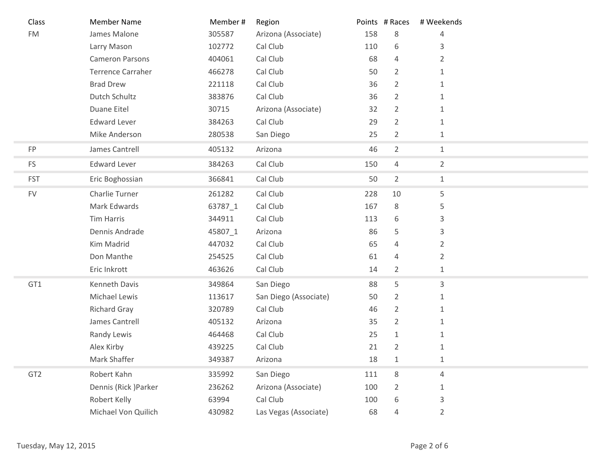| Class           | <b>Member Name</b>       | Member# | Region                |     | Points # Races | # Weekends     |
|-----------------|--------------------------|---------|-----------------------|-----|----------------|----------------|
| FM              | James Malone             | 305587  | Arizona (Associate)   | 158 | 8              | $\overline{4}$ |
|                 | Larry Mason              | 102772  | Cal Club              | 110 | 6              | 3              |
|                 | <b>Cameron Parsons</b>   | 404061  | Cal Club              | 68  | 4              | 2              |
|                 | <b>Terrence Carraher</b> | 466278  | Cal Club              | 50  | $\overline{2}$ | $\mathbf{1}$   |
|                 | <b>Brad Drew</b>         | 221118  | Cal Club              | 36  | $\overline{2}$ | $\mathbf{1}$   |
|                 | Dutch Schultz            | 383876  | Cal Club              | 36  | 2              | 1              |
|                 | Duane Eitel              | 30715   | Arizona (Associate)   | 32  | 2              | 1              |
|                 | <b>Edward Lever</b>      | 384263  | Cal Club              | 29  | $\overline{2}$ | $\mathbf{1}$   |
|                 | Mike Anderson            | 280538  | San Diego             | 25  | $\overline{2}$ | $\mathbf{1}$   |
| FP              | James Cantrell           | 405132  | Arizona               | 46  | $\overline{2}$ | $\mathbf 1$    |
| <b>FS</b>       | <b>Edward Lever</b>      | 384263  | Cal Club              | 150 | 4              | $\overline{2}$ |
| <b>FST</b>      | Eric Boghossian          | 366841  | Cal Club              | 50  | $\overline{2}$ | $\mathbf{1}$   |
| <b>FV</b>       | Charlie Turner           | 261282  | Cal Club              | 228 | 10             | 5              |
|                 | Mark Edwards             | 63787_1 | Cal Club              | 167 | 8              | 5              |
|                 | Tim Harris               | 344911  | Cal Club              | 113 | 6              | 3              |
|                 | Dennis Andrade           | 45807_1 | Arizona               | 86  | 5              | 3              |
|                 | Kim Madrid               | 447032  | Cal Club              | 65  | 4              | $\overline{2}$ |
|                 | Don Manthe               | 254525  | Cal Club              | 61  | 4              | $\overline{2}$ |
|                 | Eric Inkrott             | 463626  | Cal Club              | 14  | $\overline{2}$ | $\mathbf{1}$   |
| GT1             | Kenneth Davis            | 349864  | San Diego             | 88  | 5              | 3              |
|                 | Michael Lewis            | 113617  | San Diego (Associate) | 50  | 2              | $\mathbf{1}$   |
|                 | <b>Richard Gray</b>      | 320789  | Cal Club              | 46  | $\overline{2}$ | $\mathbf{1}$   |
|                 | James Cantrell           | 405132  | Arizona               | 35  | $\overline{2}$ | $\mathbf{1}$   |
|                 | Randy Lewis              | 464468  | Cal Club              | 25  | 1              | 1              |
|                 | Alex Kirby               | 439225  | Cal Club              | 21  | $\overline{2}$ | $\mathbf{1}$   |
|                 | Mark Shaffer             | 349387  | Arizona               | 18  | $\mathbf{1}$   | 1              |
| GT <sub>2</sub> | Robert Kahn              | 335992  | San Diego             | 111 | 8              | $\overline{4}$ |
|                 | Dennis (Rick) Parker     | 236262  | Arizona (Associate)   | 100 | $\overline{2}$ | $\mathbf{1}$   |
|                 | Robert Kelly             | 63994   | Cal Club              | 100 | 6              | 3              |
|                 | Michael Von Quilich      | 430982  | Las Vegas (Associate) | 68  | 4              | $\overline{2}$ |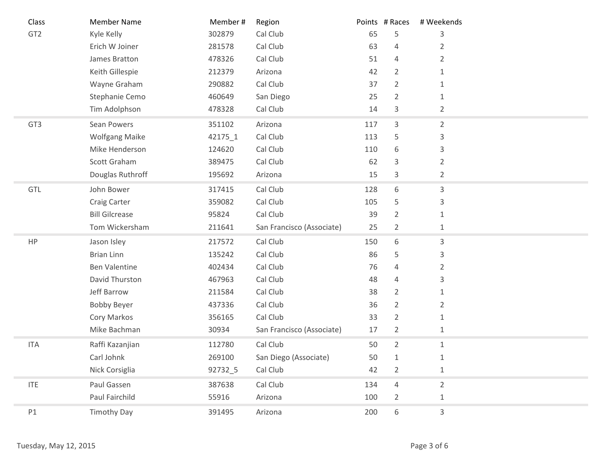| Class           | <b>Member Name</b>    | Member# | Region                    |     | Points # Races | # Weekends     |
|-----------------|-----------------------|---------|---------------------------|-----|----------------|----------------|
| GT <sub>2</sub> | Kyle Kelly            | 302879  | Cal Club                  | 65  | 5              | 3              |
|                 | Erich W Joiner        | 281578  | Cal Club                  | 63  | 4              | $\overline{2}$ |
|                 | James Bratton         | 478326  | Cal Club                  | 51  | 4              | 2              |
|                 | Keith Gillespie       | 212379  | Arizona                   | 42  | $\overline{2}$ | $\mathbf{1}$   |
|                 | Wayne Graham          | 290882  | Cal Club                  | 37  | $\overline{2}$ | $\mathbf{1}$   |
|                 | Stephanie Cemo        | 460649  | San Diego                 | 25  | $\overline{2}$ | 1              |
|                 | Tim Adolphson         | 478328  | Cal Club                  | 14  | 3              | $\overline{2}$ |
| GT <sub>3</sub> | Sean Powers           | 351102  | Arizona                   | 117 | $\mathsf{3}$   | $\overline{2}$ |
|                 | <b>Wolfgang Maike</b> | 42175_1 | Cal Club                  | 113 | 5              | 3              |
|                 | Mike Henderson        | 124620  | Cal Club                  | 110 | 6              | 3              |
|                 | Scott Graham          | 389475  | Cal Club                  | 62  | $\mathsf{3}$   | $\overline{2}$ |
|                 | Douglas Ruthroff      | 195692  | Arizona                   | 15  | 3              | $\overline{2}$ |
| GTL             | John Bower            | 317415  | Cal Club                  | 128 | 6              | 3              |
|                 | Craig Carter          | 359082  | Cal Club                  | 105 | 5              | 3              |
|                 | <b>Bill Gilcrease</b> | 95824   | Cal Club                  | 39  | $\overline{2}$ | 1              |
|                 | Tom Wickersham        | 211641  | San Francisco (Associate) | 25  | $\overline{2}$ | 1              |
| HP              | Jason Isley           | 217572  | Cal Club                  | 150 | 6              | 3              |
|                 | <b>Brian Linn</b>     | 135242  | Cal Club                  | 86  | 5              | 3              |
|                 | <b>Ben Valentine</b>  | 402434  | Cal Club                  | 76  | 4              | $\overline{2}$ |
|                 | David Thurston        | 467963  | Cal Club                  | 48  | 4              | 3              |
|                 | Jeff Barrow           | 211584  | Cal Club                  | 38  | $\overline{2}$ | $\mathbf{1}$   |
|                 | <b>Bobby Beyer</b>    | 437336  | Cal Club                  | 36  | $\overline{2}$ | $\overline{2}$ |
|                 | Cory Markos           | 356165  | Cal Club                  | 33  | $\overline{2}$ | $\mathbf{1}$   |
|                 | Mike Bachman          | 30934   | San Francisco (Associate) | 17  | $\overline{2}$ | $\mathbf{1}$   |
| <b>ITA</b>      | Raffi Kazanjian       | 112780  | Cal Club                  | 50  | $\overline{2}$ | $\mathbf{1}$   |
|                 | Carl Johnk            | 269100  | San Diego (Associate)     | 50  | $\mathbf{1}$   | $\mathbf{1}$   |
|                 | Nick Corsiglia        | 92732_5 | Cal Club                  | 42  | $\overline{2}$ | $\mathbf{1}$   |
| <b>ITE</b>      | Paul Gassen           | 387638  | Cal Club                  | 134 | $\overline{4}$ | $\overline{2}$ |
|                 | Paul Fairchild        | 55916   | Arizona                   | 100 | $\overline{2}$ | $\mathbf{1}$   |
| P1              | <b>Timothy Day</b>    | 391495  | Arizona                   | 200 | 6              | $\mathsf{3}$   |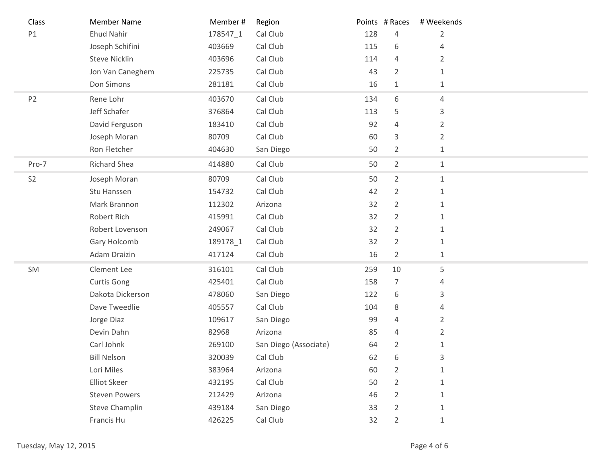| Class          | <b>Member Name</b>    | Member#  | Region                |     | Points # Races | # Weekends     |  |
|----------------|-----------------------|----------|-----------------------|-----|----------------|----------------|--|
| P1             | <b>Ehud Nahir</b>     | 178547_1 | Cal Club              | 128 | 4              | $\overline{2}$ |  |
|                | Joseph Schifini       | 403669   | Cal Club              | 115 | 6              | 4              |  |
|                | <b>Steve Nicklin</b>  | 403696   | Cal Club              | 114 | 4              | $\overline{2}$ |  |
|                | Jon Van Caneghem      | 225735   | Cal Club              | 43  | $\overline{2}$ | $\mathbf{1}$   |  |
|                | Don Simons            | 281181   | Cal Club              | 16  | $\mathbf{1}$   | $\mathbf{1}$   |  |
| P <sub>2</sub> | Rene Lohr             | 403670   | Cal Club              | 134 | 6              | 4              |  |
|                | Jeff Schafer          | 376864   | Cal Club              | 113 | 5              | 3              |  |
|                | David Ferguson        | 183410   | Cal Club              | 92  | 4              | $\overline{2}$ |  |
|                | Joseph Moran          | 80709    | Cal Club              | 60  | 3              | $\overline{2}$ |  |
|                | Ron Fletcher          | 404630   | San Diego             | 50  | $\overline{2}$ | $1\,$          |  |
| Pro-7          | <b>Richard Shea</b>   | 414880   | Cal Club              | 50  | $\overline{2}$ | $1\,$          |  |
| S <sub>2</sub> | Joseph Moran          | 80709    | Cal Club              | 50  | $\overline{2}$ | $1\,$          |  |
|                | Stu Hanssen           | 154732   | Cal Club              | 42  | $\overline{2}$ | $\mathbf{1}$   |  |
|                | Mark Brannon          | 112302   | Arizona               | 32  | $\overline{2}$ | $\mathbf{1}$   |  |
|                | Robert Rich           | 415991   | Cal Club              | 32  | $\overline{2}$ | $\mathbf{1}$   |  |
|                | Robert Lovenson       | 249067   | Cal Club              | 32  | $\overline{2}$ | $\mathbf{1}$   |  |
|                | Gary Holcomb          | 189178_1 | Cal Club              | 32  | $\overline{2}$ | 1              |  |
|                | Adam Draizin          | 417124   | Cal Club              | 16  | $\overline{2}$ | $1\,$          |  |
| SM             | Clement Lee           | 316101   | Cal Club              | 259 | 10             | 5              |  |
|                | <b>Curtis Gong</b>    | 425401   | Cal Club              | 158 | $\overline{7}$ | 4              |  |
|                | Dakota Dickerson      | 478060   | San Diego             | 122 | 6              | 3              |  |
|                | Dave Tweedlie         | 405557   | Cal Club              | 104 | 8              | 4              |  |
|                | Jorge Diaz            | 109617   | San Diego             | 99  | $\overline{4}$ | $\overline{2}$ |  |
|                | Devin Dahn            | 82968    | Arizona               | 85  | $\overline{4}$ | $\overline{2}$ |  |
|                | Carl Johnk            | 269100   | San Diego (Associate) | 64  | $\overline{2}$ | $\mathbf{1}$   |  |
|                | <b>Bill Nelson</b>    | 320039   | Cal Club              | 62  | 6              | 3              |  |
|                | Lori Miles            | 383964   | Arizona               | 60  | $\overline{2}$ | $\mathbf{1}$   |  |
|                | <b>Elliot Skeer</b>   | 432195   | Cal Club              | 50  | 2              | $\mathbf{1}$   |  |
|                | <b>Steven Powers</b>  | 212429   | Arizona               | 46  | $\overline{2}$ | $\mathbf{1}$   |  |
|                | <b>Steve Champlin</b> | 439184   | San Diego             | 33  | $\overline{2}$ | 1              |  |
|                | Francis Hu            | 426225   | Cal Club              | 32  | $\overline{2}$ | $\mathbf{1}$   |  |
|                |                       |          |                       |     |                |                |  |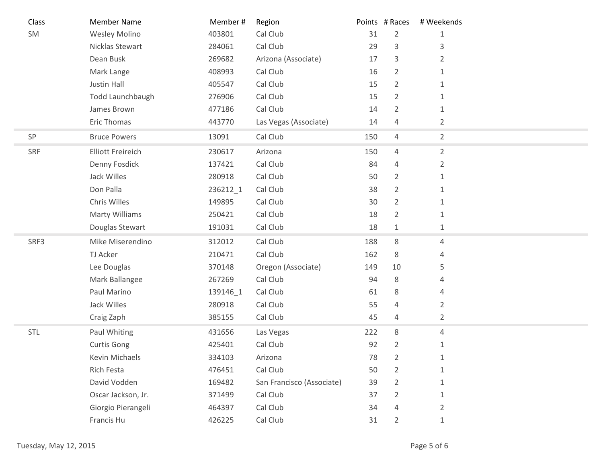| Class      | <b>Member Name</b>       | Member # | Region                    |     | Points # Races | # Weekends     |
|------------|--------------------------|----------|---------------------------|-----|----------------|----------------|
| SM         | <b>Wesley Molino</b>     | 403801   | Cal Club                  | 31  | $\overline{2}$ | 1              |
|            | Nicklas Stewart          | 284061   | Cal Club                  | 29  | 3              | 3              |
|            | Dean Busk                | 269682   | Arizona (Associate)       | 17  | 3              | 2              |
|            | Mark Lange               | 408993   | Cal Club                  | 16  | $\overline{2}$ | 1              |
|            | Justin Hall              | 405547   | Cal Club                  | 15  | $\overline{2}$ | 1              |
|            | Todd Launchbaugh         | 276906   | Cal Club                  | 15  | $\overline{2}$ |                |
|            | James Brown              | 477186   | Cal Club                  | 14  | $\overline{2}$ | 1              |
|            | Eric Thomas              | 443770   | Las Vegas (Associate)     | 14  | 4              | $\overline{2}$ |
| SP         | <b>Bruce Powers</b>      | 13091    | Cal Club                  | 150 | 4              | $\overline{2}$ |
| SRF        | <b>Elliott Freireich</b> | 230617   | Arizona                   | 150 | $\overline{4}$ | $\overline{2}$ |
|            | Denny Fosdick            | 137421   | Cal Club                  | 84  | 4              | 2              |
|            | Jack Willes              | 280918   | Cal Club                  | 50  | $\overline{2}$ | 1              |
|            | Don Palla                | 236212_1 | Cal Club                  | 38  | $\overline{2}$ | $\mathbf{1}$   |
|            | Chris Willes             | 149895   | Cal Club                  | 30  | $\overline{2}$ | 1              |
|            | <b>Marty Williams</b>    | 250421   | Cal Club                  | 18  | $\overline{2}$ | 1              |
|            | Douglas Stewart          | 191031   | Cal Club                  | 18  | $\mathbf{1}$   | 1              |
| SRF3       | Mike Miserendino         | 312012   | Cal Club                  | 188 | 8              | $\sqrt{4}$     |
|            | TJ Acker                 | 210471   | Cal Club                  | 162 | 8              | 4              |
|            | Lee Douglas              | 370148   | Oregon (Associate)        | 149 | 10             | 5              |
|            | Mark Ballangee           | 267269   | Cal Club                  | 94  | 8              | 4              |
|            | Paul Marino              | 139146_1 | Cal Club                  | 61  | 8              | 4              |
|            | Jack Willes              | 280918   | Cal Club                  | 55  | 4              | $\overline{2}$ |
|            | Craig Zaph               | 385155   | Cal Club                  | 45  | 4              | $\overline{2}$ |
| <b>STL</b> | Paul Whiting             | 431656   | Las Vegas                 | 222 | 8              | 4              |
|            | <b>Curtis Gong</b>       | 425401   | Cal Club                  | 92  | $\overline{2}$ | $\mathbf{1}$   |
|            | Kevin Michaels           | 334103   | Arizona                   | 78  | 2              |                |
|            | Rich Festa               | 476451   | Cal Club                  | 50  | $\overline{2}$ | 1              |
|            | David Vodden             | 169482   | San Francisco (Associate) | 39  | $\overline{2}$ | 1              |
|            | Oscar Jackson, Jr.       | 371499   | Cal Club                  | 37  | $\overline{2}$ | 1              |
|            | Giorgio Pierangeli       | 464397   | Cal Club                  | 34  | 4              | 2              |
|            | Francis Hu               | 426225   | Cal Club                  | 31  | $\overline{2}$ | 1              |